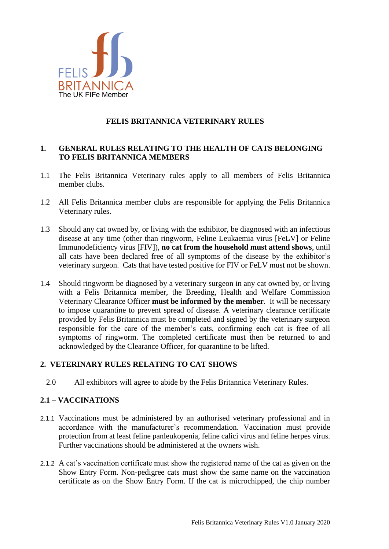

# **FELIS BRITANNICA VETERINARY RULES**

### **1. GENERAL RULES RELATING TO THE HEALTH OF CATS BELONGING TO FELIS BRITANNICA MEMBERS**

- 1.1 The Felis Britannica Veterinary rules apply to all members of Felis Britannica member clubs.
- 1.2 All Felis Britannica member clubs are responsible for applying the Felis Britannica Veterinary rules.
- 1.3 Should any cat owned by, or living with the exhibitor, be diagnosed with an infectious disease at any time (other than ringworm, Feline Leukaemia virus [FeLV] or Feline Immunodeficiency virus [FIV]), **no cat from the household must attend shows**, until all cats have been declared free of all symptoms of the disease by the exhibitor's veterinary surgeon. Cats that have tested positive for FIV or FeLV must not be shown.
- 1.4 Should ringworm be diagnosed by a veterinary surgeon in any cat owned by, or living with a Felis Britannica member, the Breeding, Health and Welfare Commission Veterinary Clearance Officer **must be informed by the member**. It will be necessary to impose quarantine to prevent spread of disease. A veterinary clearance certificate provided by Felis Britannica must be completed and signed by the veterinary surgeon responsible for the care of the member's cats, confirming each cat is free of all symptoms of ringworm. The completed certificate must then be returned to and acknowledged by the Clearance Officer, for quarantine to be lifted.

## **2. VETERINARY RULES RELATING TO CAT SHOWS**

2.0 All exhibitors will agree to abide by the Felis Britannica Veterinary Rules.

## **2.1 – VACCINATIONS**

- 2.1.1 Vaccinations must be administered by an authorised veterinary professional and in accordance with the manufacturer's recommendation. Vaccination must provide protection from at least feline panleukopenia, feline calici virus and feline herpes virus. Further vaccinations should be administered at the owners wish.
- 2.1.2 A cat's vaccination certificate must show the registered name of the cat as given on the Show Entry Form. Non-pedigree cats must show the same name on the vaccination certificate as on the Show Entry Form. If the cat is microchipped, the chip number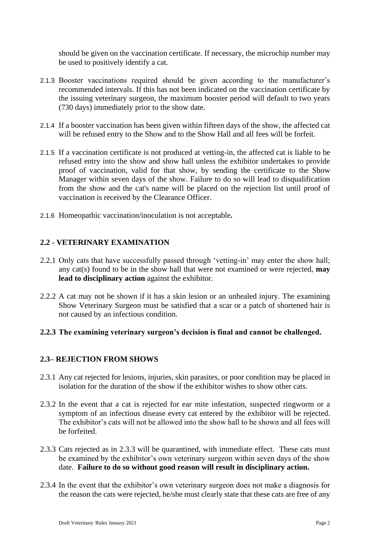should be given on the vaccination certificate. If necessary, the microchip number may be used to positively identify a cat.

- 2.1.3 Booster vaccinations required should be given according to the manufacturer's recommended intervals. If this has not been indicated on the vaccination certificate by the issuing veterinary surgeon, the maximum booster period will default to two years (730 days) immediately prior to the show date.
- 2.1.4 If a booster vaccination has been given within fifteen days of the show, the affected cat will be refused entry to the Show and to the Show Hall and all fees will be forfeit.
- 2.1.5 If a vaccination certificate is not produced at vetting-in, the affected cat is liable to be refused entry into the show and show hall unless the exhibitor undertakes to provide proof of vaccination, valid for that show, by sending the certificate to the Show Manager within seven days of the show. Failure to do so will lead to disqualification from the show and the cat's name will be placed on the rejection list until proof of vaccination is received by the Clearance Officer.
- 2.1.6 Homeopathic vaccination/inoculation is not acceptable*.*

## **2.2 - VETERINARY EXAMINATION**

- 2.2.1 Only cats that have successfully passed through 'vetting-in' may enter the show hall; any cat(s) found to be in the show hall that were not examined or were rejected, **may lead to disciplinary action** against the exhibitor.
- 2.2.2 A cat may not be shown if it has a skin lesion or an unhealed injury. The examining Show Veterinary Surgeon must be satisfied that a scar or a patch of shortened hair is not caused by an infectious condition.

#### **2.2.3 The examining veterinary surgeon's decision is final and cannot be challenged.**

#### **2.3– REJECTION FROM SHOWS**

- 2.3.1 Any cat rejected for lesions, injuries, skin parasites, or poor condition may be placed in isolation for the duration of the show if the exhibitor wishes to show other cats.
- 2.3.2 In the event that a cat is rejected for ear mite infestation, suspected ringworm or a symptom of an infectious disease every cat entered by the exhibitor will be rejected. The exhibitor's cats will not be allowed into the show hall to be shown and all fees will be forfeited.
- 2.3.3 Cats rejected as in 2.3.3 will be quarantined, with immediate effect. These cats must be examined by the exhibitor's own veterinary surgeon within seven days of the show date. **Failure to do so without good reason will result in disciplinary action.**
- 2.3.4 In the event that the exhibitor's own veterinary surgeon does not make a diagnosis for the reason the cats were rejected, he/she must clearly state that these cats are free of any